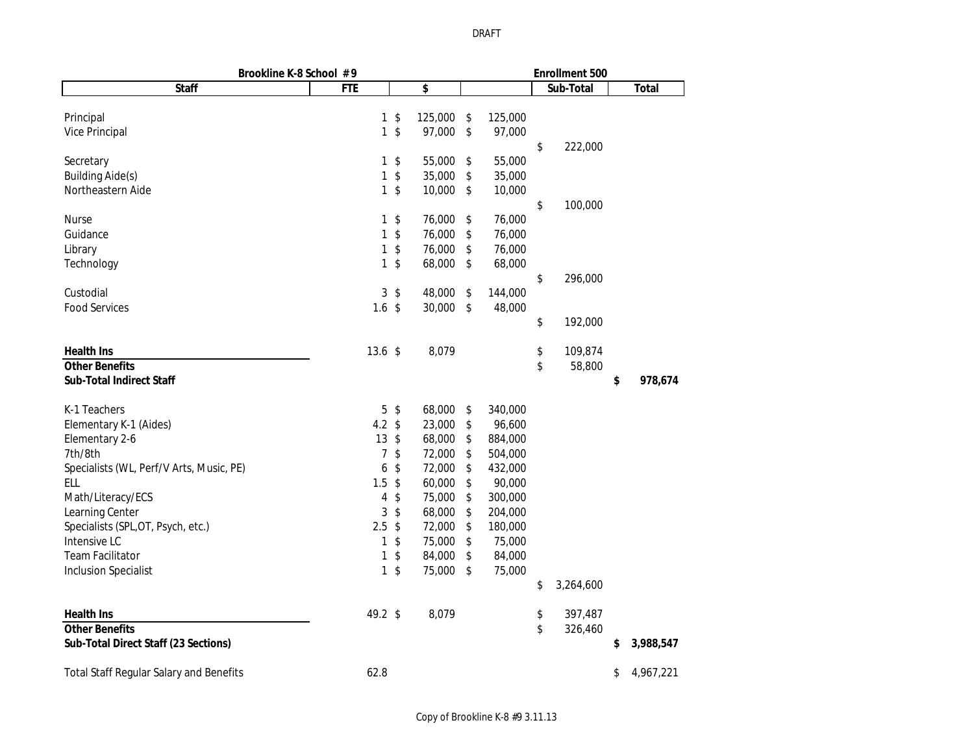| Brookline K-8 School #9                        |                 |                 |         |               | <b>Enrollment 500</b> |           |    |              |  |
|------------------------------------------------|-----------------|-----------------|---------|---------------|-----------------------|-----------|----|--------------|--|
| <b>Staff</b>                                   | <b>FTE</b>      |                 | \$      |               |                       | Sub-Total |    | <b>Total</b> |  |
|                                                |                 |                 |         |               |                       |           |    |              |  |
| Principal                                      | $\mathbf{1}$    | \$              | 125,000 | \$<br>125,000 |                       |           |    |              |  |
| <b>Vice Principal</b>                          | $\mathbf{1}$    | \$              | 97,000  | \$<br>97,000  |                       |           |    |              |  |
|                                                |                 |                 |         |               | \$                    | 222,000   |    |              |  |
| Secretary                                      | 1               | \$              | 55,000  | \$<br>55,000  |                       |           |    |              |  |
| <b>Building Aide(s)</b>                        | 1               | \$              | 35,000  | \$<br>35,000  |                       |           |    |              |  |
| Northeastern Aide                              | $\mathbf{1}$    | \$              | 10,000  | \$<br>10,000  |                       |           |    |              |  |
|                                                |                 |                 |         |               | \$                    | 100,000   |    |              |  |
| Nurse                                          | 1               | \$              | 76,000  | \$<br>76,000  |                       |           |    |              |  |
| Guidance                                       | 1               | \$              | 76,000  | \$<br>76,000  |                       |           |    |              |  |
| Library                                        | 1               | \$              | 76,000  | \$<br>76,000  |                       |           |    |              |  |
| Technology                                     | $\mathbf{1}$    | \$              | 68,000  | \$<br>68,000  |                       |           |    |              |  |
|                                                |                 |                 |         |               | \$                    | 296,000   |    |              |  |
| Custodial                                      |                 | 3 <sup>3</sup>  | 48,000  | \$<br>144,000 |                       |           |    |              |  |
| <b>Food Services</b>                           | $1.6$ \$        |                 | 30,000  | \$<br>48,000  |                       |           |    |              |  |
|                                                |                 |                 |         |               | \$                    | 192,000   |    |              |  |
| <b>Health Ins</b>                              | 13.6~\$         |                 | 8,079   |               | \$                    | 109,874   |    |              |  |
| <b>Other Benefits</b>                          |                 |                 |         |               | \$                    | 58,800    |    |              |  |
| <b>Sub-Total Indirect Staff</b>                |                 |                 |         |               |                       |           | \$ | 978,674      |  |
| K-1 Teachers                                   |                 | $5 \text{ }$ \$ | 68,000  | \$<br>340,000 |                       |           |    |              |  |
| Elementary K-1 (Aides)                         | 4.2 $$$         |                 | 23,000  | \$<br>96,600  |                       |           |    |              |  |
| Elementary 2-6                                 | $13 \text{ } $$ |                 | 68,000  | \$<br>884,000 |                       |           |    |              |  |
| 7th/8th                                        | 7               | \$              | 72,000  | \$<br>504,000 |                       |           |    |              |  |
| Specialists (WL, Perf/V Arts, Music, PE)       | 6               | $\sqrt{2}$      | 72,000  | \$<br>432,000 |                       |           |    |              |  |
| <b>ELL</b>                                     | 1.5             | \$              | 60,000  | \$<br>90,000  |                       |           |    |              |  |
| Math/Literacy/ECS                              | 4               | \$              | 75,000  | \$<br>300,000 |                       |           |    |              |  |
| Learning Center                                | 3               | \$              | 68,000  | \$<br>204,000 |                       |           |    |              |  |
| Specialists (SPL, OT, Psych, etc.)             | 2.5             | $\sqrt{2}$      | 72,000  | \$<br>180,000 |                       |           |    |              |  |
| Intensive LC                                   | 1               | \$              | 75,000  | \$<br>75,000  |                       |           |    |              |  |
| <b>Team Facilitator</b>                        | $\mathbf{1}$    | \$              | 84,000  | \$<br>84,000  |                       |           |    |              |  |
| <b>Inclusion Specialist</b>                    | $\mathbf{1}$    | \$              | 75,000  | \$<br>75,000  |                       |           |    |              |  |
|                                                |                 |                 |         |               | \$                    | 3,264,600 |    |              |  |
| <b>Health Ins</b>                              | 49.2 \$         |                 | 8,079   |               | \$                    | 397,487   |    |              |  |
| <b>Other Benefits</b>                          |                 |                 |         |               | \$                    | 326,460   |    |              |  |
| Sub-Total Direct Staff (23 Sections)           |                 |                 |         |               |                       |           | \$ | 3,988,547    |  |
| <b>Total Staff Regular Salary and Benefits</b> | 62.8            |                 |         |               |                       |           | \$ | 4,967,221    |  |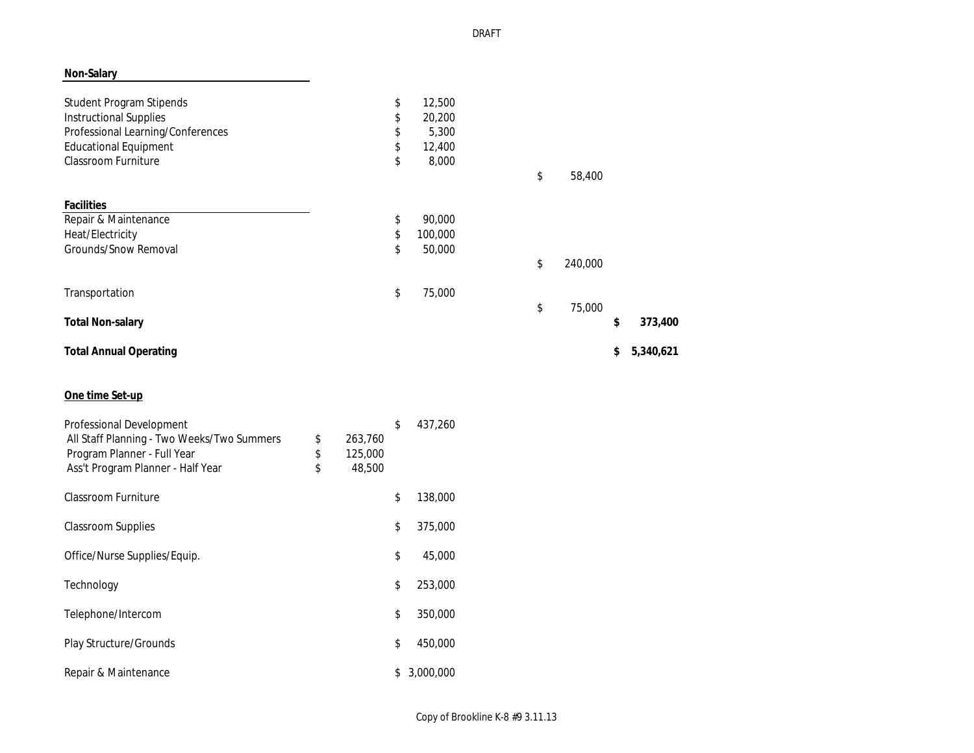## **Non-Salary**

| <b>Student Program Stipends</b>   | \$<br>12,500  |               |                 |
|-----------------------------------|---------------|---------------|-----------------|
| <b>Instructional Supplies</b>     | \$<br>20,200  |               |                 |
| Professional Learning/Conferences | \$<br>5,300   |               |                 |
| <b>Educational Equipment</b>      | \$<br>12,400  |               |                 |
| <b>Classroom Furniture</b>        | \$<br>8,000   |               |                 |
|                                   |               | \$<br>58,400  |                 |
| <b>Facilities</b>                 |               |               |                 |
| Repair & Maintenance              | \$<br>90,000  |               |                 |
| Heat/Electricity                  | \$<br>100,000 |               |                 |
| Grounds/Snow Removal              | \$<br>50,000  |               |                 |
|                                   |               | \$<br>240,000 |                 |
| Transportation                    | \$<br>75,000  |               |                 |
|                                   |               | \$<br>75,000  |                 |
| <b>Total Non-salary</b>           |               |               | \$<br>373,400   |
| <b>Total Annual Operating</b>     |               |               | \$<br>5,340,621 |

## **One time Set-up**

| <b>Professional Development</b><br>All Staff Planning - Two Weeks/Two Summers<br>Program Planner - Full Year<br>Ass't Program Planner - Half Year | \$<br>\$<br>\$ | 263,760<br>125,000<br>48,500 | \$ | 437,260   |
|---------------------------------------------------------------------------------------------------------------------------------------------------|----------------|------------------------------|----|-----------|
| <b>Classroom Furniture</b>                                                                                                                        |                |                              | \$ | 138,000   |
| <b>Classroom Supplies</b>                                                                                                                         |                |                              | \$ | 375,000   |
| Office/Nurse Supplies/Equip.                                                                                                                      |                |                              | \$ | 45,000    |
| Technology                                                                                                                                        |                |                              | \$ | 253,000   |
| Telephone/Intercom                                                                                                                                |                |                              | \$ | 350,000   |
| <b>Play Structure/Grounds</b>                                                                                                                     |                |                              | \$ | 450,000   |
| Repair & Maintenance                                                                                                                              |                |                              | S  | 3,000,000 |